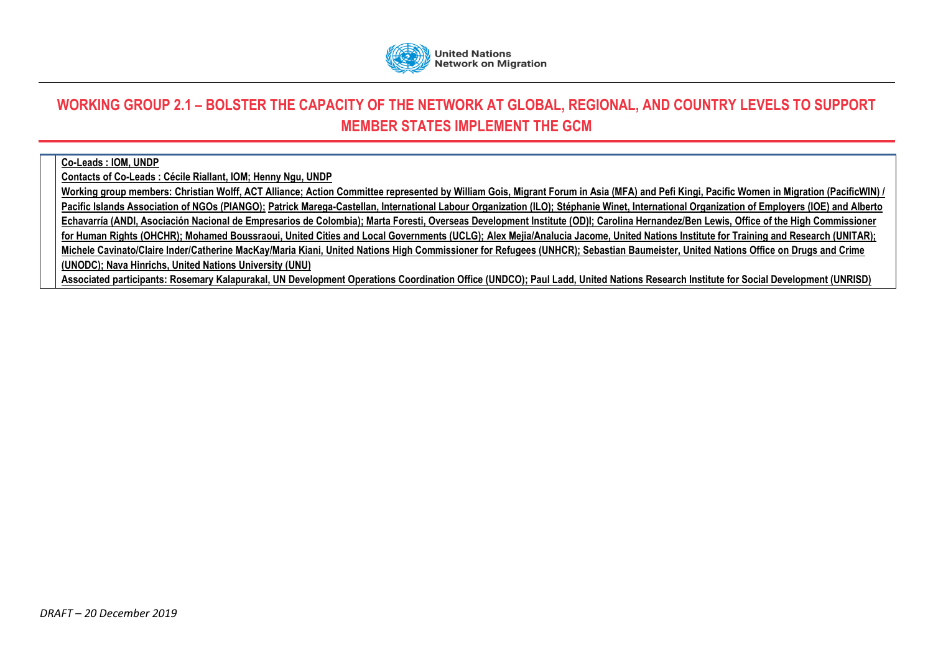

## **WORKING GROUP 2.1 – BOLSTER THE CAPACITY OF THE NETWORK AT GLOBAL, REGIONAL, AND COUNTRY LEVELS TO SUPPORT MEMBER STATES IMPLEMENT THE GCM**

## **Co-Leads : IOM, UNDP**

**Contacts of Co-Leads : Cécile Riallant, IOM; Henny Ngu, UNDP**

**Working group members: Christian Wolff, ACT Alliance; Action Committee represented by William Gois, Migrant Forum in Asia (MFA) and Pefi Kingi, Pacific Women in Migration (PacificWIN) / Pacific Islands Association of NGOs (PIANGO); Patrick Marega-Castellan, International Labour Organization (ILO); Stéphanie Winet, International Organization of Employers (IOE) and Alberto Echavarría (ANDI, Asociación Nacional de Empresarios de Colombia); Marta Foresti, Overseas Development Institute (OD)I; Carolina Hernandez/Ben Lewis, Office of the High Commissioner for Human Rights (OHCHR); Mohamed Boussraoui, United Cities and Local Governments (UCLG); Alex Mejia/Analucia Jacome, United Nations Institute for Training and Research (UNITAR); Michele Cavinato/Claire Inder/Catherine MacKay/Maria Kiani, United Nations High Commissioner for Refugees (UNHCR); Sebastian Baumeister, United Nations Office on Drugs and Crime (UNODC); Nava Hinrichs, United Nations University (UNU) Associated participants: Rosemary Kalapurakal, UN Development Operations Coordination Office (UNDCO); Paul Ladd, United Nations Research Institute for Social Development (UNRISD)**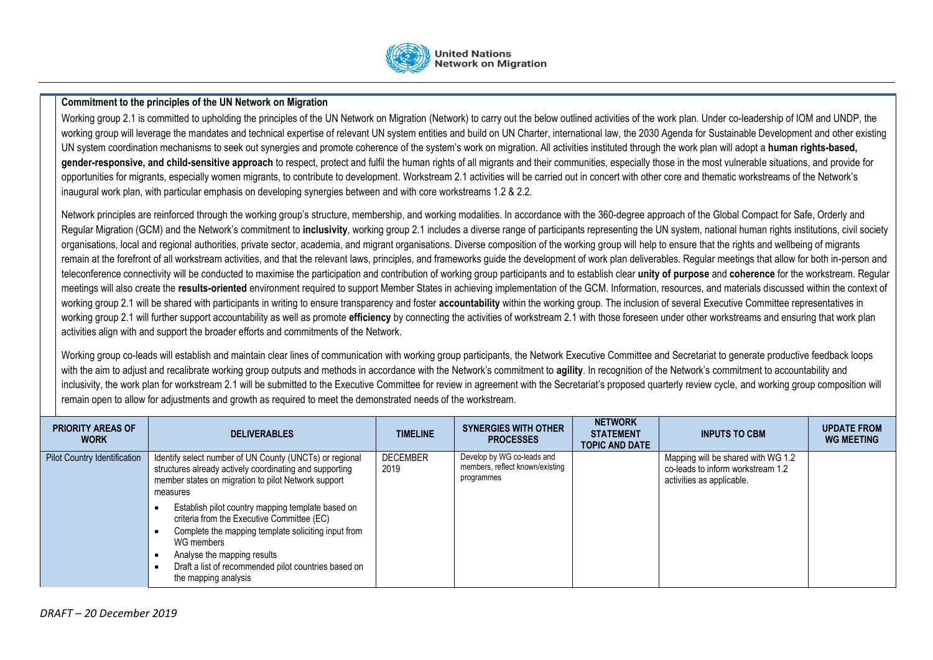

## **Commitment to the principles of the UN Network on Migration**

Working group 2.1 is committed to upholding the principles of the UN Network on Migration (Network) to carry out the below outlined activities of the work plan. Under co-leadership of IOM and UNDP, the working group will leverage the mandates and technical expertise of relevant UN system entities and build on UN Charter, international law, the 2030 Agenda for Sustainable Development and other existing UN system coordination mechanisms to seek out synergies and promote coherence of the system's work on migration. All activities instituted through the work plan will adopt a **human rights-based, gender-responsive, and child-sensitive approach** to respect, protect and fulfil the human rights of all migrants and their communities, especially those in the most vulnerable situations, and provide for opportunities for migrants, especially women migrants, to contribute to development. Workstream 2.1 activities will be carried out in concert with other core and thematic workstreams of the Network's inaugural work plan, with particular emphasis on developing synergies between and with core workstreams 1.2 & 2.2.

Network principles are reinforced through the working group's structure, membership, and working modalities. In accordance with the 360-degree approach of the Global Compact for Safe, Orderly and Regular Migration (GCM) and the Network's commitment to inclusivity, working group 2.1 includes a diverse range of participants representing the UN system, national human rights institutions, civil society organisations, local and regional authorities, private sector, academia, and migrant organisations. Diverse composition of the working group will help to ensure that the rights and wellbeing of migrants remain at the forefront of all workstream activities, and that the relevant laws, principles, and frameworks quide the development of work plan deliverables. Reqular meetings that allow for both in-person and teleconference connectivity will be conducted to maximise the participation and contribution of working group participants and to establish clear **unity of purpose** and **coherence** for the workstream. Regular meetings will also create the results-oriented environment required to support Member States in achieving implementation of the GCM. Information, resources, and materials discussed within the context of working group 2.1 will be shared with participants in writing to ensure transparency and foster **accountability** within the working group. The inclusion of several Executive Committee representatives in working group 2.1 will further support accountability as well as promote **efficiency** by connecting the activities of workstream 2.1 with those foreseen under other workstreams and ensuring that work plan activities align with and support the broader efforts and commitments of the Network.

Working group co-leads will establish and maintain clear lines of communication with working group participants, the Network Executive Committee and Secretariat to generate productive feedback loops with the aim to adjust and recalibrate working group outputs and methods in accordance with the Network's commitment to agility. In recognition of the Network's commitment to accountability and inclusivity, the work plan for workstream 2.1 will be submitted to the Executive Committee for review in agreement with the Secretariat's proposed quarterly review cycle, and working group composition will remain open to allow for adjustments and growth as required to meet the demonstrated needs of the workstream.

| <b>PRIORITY AREAS OF</b><br><b>WORK</b> | <b>DELIVERABLES</b>                                                                                                                                                                                                                                                                 | <b>TIMELINE</b>         | <b>SYNERGIES WITH OTHER</b><br><b>PROCESSES</b>                             | <b>NETWORK</b><br><b>STATEMENT</b><br><b>TOPIC AND DATE</b> | <b>INPUTS TO CBM</b>                                                                                 | <b>UPDATE FROM</b><br><b>WG MEETING</b> |
|-----------------------------------------|-------------------------------------------------------------------------------------------------------------------------------------------------------------------------------------------------------------------------------------------------------------------------------------|-------------------------|-----------------------------------------------------------------------------|-------------------------------------------------------------|------------------------------------------------------------------------------------------------------|-----------------------------------------|
| Pilot Country Identification            | Identify select number of UN County (UNCTs) or regional<br>structures already actively coordinating and supporting<br>member states on migration to pilot Network support<br>measures                                                                                               | <b>DECEMBER</b><br>2019 | Develop by WG co-leads and<br>members, reflect known/existing<br>programmes |                                                             | Mapping will be shared with WG 1.2<br>co-leads to inform workstream 1.2<br>activities as applicable. |                                         |
|                                         | Establish pilot country mapping template based on<br>criteria from the Executive Committee (EC)<br>Complete the mapping template soliciting input from<br>WG members<br>Analyse the mapping results<br>Draft a list of recommended pilot countries based on<br>the mapping analysis |                         |                                                                             |                                                             |                                                                                                      |                                         |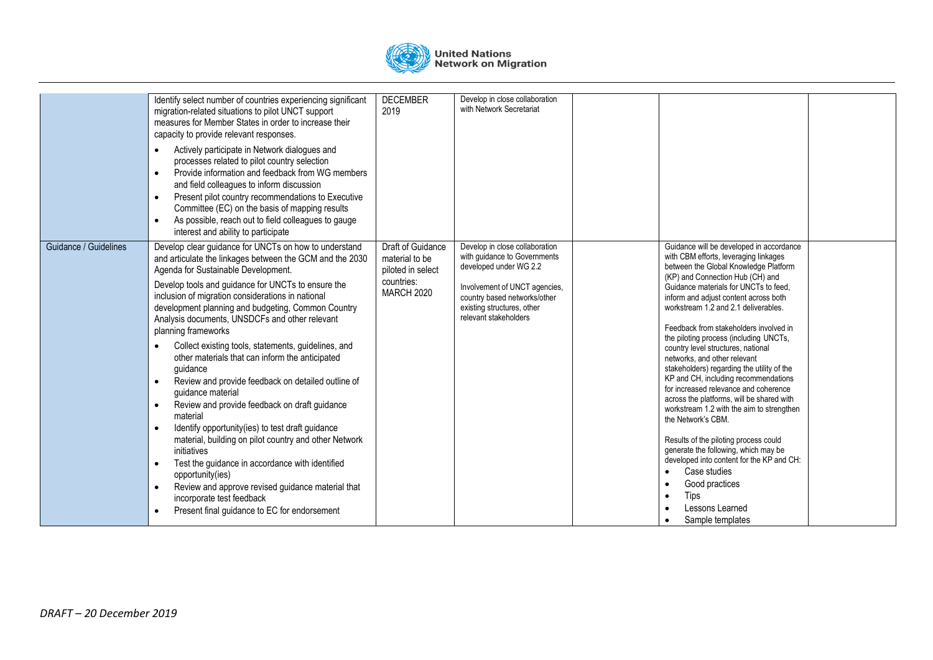

|                       | Identify select number of countries experiencing significant<br>migration-related situations to pilot UNCT support<br>measures for Member States in order to increase their<br>capacity to provide relevant responses.<br>Actively participate in Network dialogues and<br>$\bullet$<br>processes related to pilot country selection<br>Provide information and feedback from WG members<br>$\bullet$<br>and field colleagues to inform discussion<br>Present pilot country recommendations to Executive<br>$\bullet$<br>Committee (EC) on the basis of mapping results<br>As possible, reach out to field colleagues to gauge<br>$\bullet$<br>interest and ability to participate                                                                                                                                                                                                                                                                                                                                                                                                               | <b>DECEMBER</b><br>2019                                                                     | Develop in close collaboration<br>with Network Secretariat                                                                                                                                                       |                                                                                                                                                                                                                                                                                                                                                                                                                                                                                                                                                                                                                                                                                                                                                                                                                                                                                                                  |  |
|-----------------------|--------------------------------------------------------------------------------------------------------------------------------------------------------------------------------------------------------------------------------------------------------------------------------------------------------------------------------------------------------------------------------------------------------------------------------------------------------------------------------------------------------------------------------------------------------------------------------------------------------------------------------------------------------------------------------------------------------------------------------------------------------------------------------------------------------------------------------------------------------------------------------------------------------------------------------------------------------------------------------------------------------------------------------------------------------------------------------------------------|---------------------------------------------------------------------------------------------|------------------------------------------------------------------------------------------------------------------------------------------------------------------------------------------------------------------|------------------------------------------------------------------------------------------------------------------------------------------------------------------------------------------------------------------------------------------------------------------------------------------------------------------------------------------------------------------------------------------------------------------------------------------------------------------------------------------------------------------------------------------------------------------------------------------------------------------------------------------------------------------------------------------------------------------------------------------------------------------------------------------------------------------------------------------------------------------------------------------------------------------|--|
| Guidance / Guidelines | Develop clear guidance for UNCTs on how to understand<br>and articulate the linkages between the GCM and the 2030<br>Agenda for Sustainable Development.<br>Develop tools and guidance for UNCTs to ensure the<br>inclusion of migration considerations in national<br>development planning and budgeting, Common Country<br>Analysis documents, UNSDCFs and other relevant<br>planning frameworks<br>Collect existing tools, statements, guidelines, and<br>$\bullet$<br>other materials that can inform the anticipated<br>guidance<br>Review and provide feedback on detailed outline of<br>$\bullet$<br>quidance material<br>Review and provide feedback on draft guidance<br>$\bullet$<br>material<br>Identify opportunity(ies) to test draft guidance<br>$\bullet$<br>material, building on pilot country and other Network<br>initiatives<br>Test the guidance in accordance with identified<br>$\bullet$<br>opportunity(ies)<br>Review and approve revised guidance material that<br>$\bullet$<br>incorporate test feedback<br>Present final guidance to EC for endorsement<br>$\bullet$ | Draft of Guidance<br>material to be<br>piloted in select<br>countries:<br><b>MARCH 2020</b> | Develop in close collaboration<br>with guidance to Governments<br>developed under WG 2.2<br>Involvement of UNCT agencies,<br>country based networks/other<br>existing structures, other<br>relevant stakeholders | Guidance will be developed in accordance<br>with CBM efforts, leveraging linkages<br>between the Global Knowledge Platform<br>(KP) and Connection Hub (CH) and<br>Guidance materials for UNCTs to feed.<br>inform and adjust content across both<br>workstream 1.2 and 2.1 deliverables.<br>Feedback from stakeholders involved in<br>the piloting process (including UNCTs,<br>country level structures, national<br>networks, and other relevant<br>stakeholders) regarding the utility of the<br>KP and CH, including recommendations<br>for increased relevance and coherence<br>across the platforms, will be shared with<br>workstream 1.2 with the aim to strengthen<br>the Network's CBM.<br>Results of the piloting process could<br>generate the following, which may be<br>developed into content for the KP and CH:<br>Case studies<br>Good practices<br>Tips<br>Lessons Learned<br>Sample templates |  |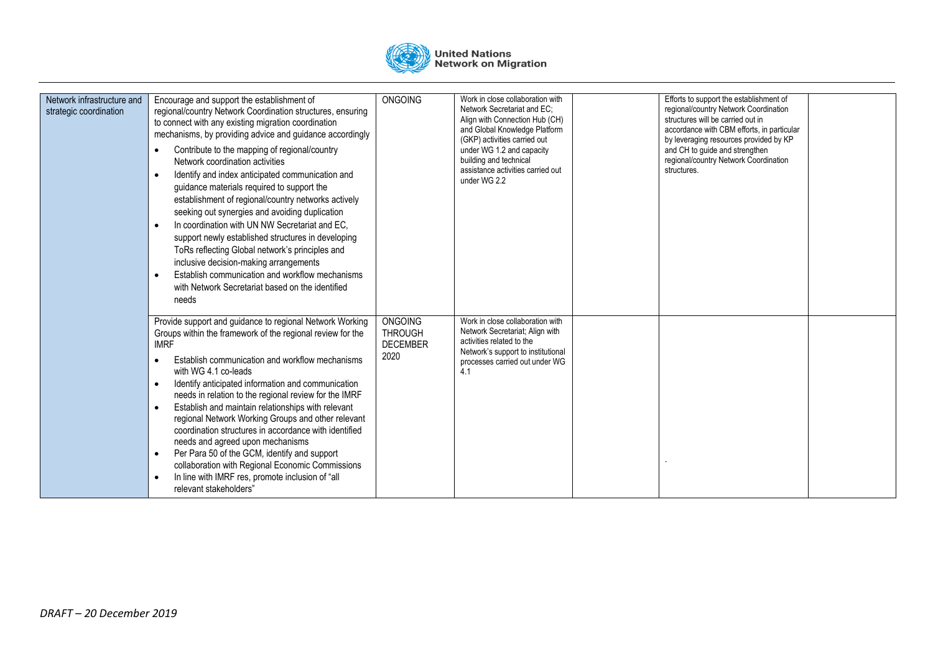

| Network infrastructure and<br>strategic coordination | Encourage and support the establishment of<br>regional/country Network Coordination structures, ensuring<br>to connect with any existing migration coordination<br>mechanisms, by providing advice and guidance accordingly<br>Contribute to the mapping of regional/country<br>Network coordination activities<br>Identify and index anticipated communication and<br>$\bullet$<br>guidance materials required to support the<br>establishment of regional/country networks actively<br>seeking out synergies and avoiding duplication<br>In coordination with UN NW Secretariat and EC,<br>$\bullet$<br>support newly established structures in developing<br>ToRs reflecting Global network's principles and<br>inclusive decision-making arrangements<br>Establish communication and workflow mechanisms<br>with Network Secretariat based on the identified<br>needs | <b>ONGOING</b>                                              | Work in close collaboration with<br>Network Secretariat and EC:<br>Align with Connection Hub (CH)<br>and Global Knowledge Platform<br>(GKP) activities carried out<br>under WG 1.2 and capacity<br>building and technical<br>assistance activities carried out<br>under WG 2.2 | Efforts to support the establishment of<br>regional/country Network Coordination<br>structures will be carried out in<br>accordance with CBM efforts, in particular<br>by leveraging resources provided by KP<br>and CH to quide and strengthen<br>regional/country Network Coordination<br>structures. |  |
|------------------------------------------------------|---------------------------------------------------------------------------------------------------------------------------------------------------------------------------------------------------------------------------------------------------------------------------------------------------------------------------------------------------------------------------------------------------------------------------------------------------------------------------------------------------------------------------------------------------------------------------------------------------------------------------------------------------------------------------------------------------------------------------------------------------------------------------------------------------------------------------------------------------------------------------|-------------------------------------------------------------|--------------------------------------------------------------------------------------------------------------------------------------------------------------------------------------------------------------------------------------------------------------------------------|---------------------------------------------------------------------------------------------------------------------------------------------------------------------------------------------------------------------------------------------------------------------------------------------------------|--|
|                                                      | Provide support and guidance to regional Network Working<br>Groups within the framework of the regional review for the<br><b>IMRF</b><br>Establish communication and workflow mechanisms<br>with WG 4.1 co-leads<br>Identify anticipated information and communication<br>needs in relation to the regional review for the IMRF<br>Establish and maintain relationships with relevant<br>$\bullet$<br>regional Network Working Groups and other relevant<br>coordination structures in accordance with identified<br>needs and agreed upon mechanisms<br>Per Para 50 of the GCM, identify and support<br>$\bullet$<br>collaboration with Regional Economic Commissions<br>In line with IMRF res, promote inclusion of "all<br>relevant stakeholders"                                                                                                                      | <b>ONGOING</b><br><b>THROUGH</b><br><b>DECEMBER</b><br>2020 | Work in close collaboration with<br>Network Secretariat; Align with<br>activities related to the<br>Network's support to institutional<br>processes carried out under WG<br>4.1                                                                                                |                                                                                                                                                                                                                                                                                                         |  |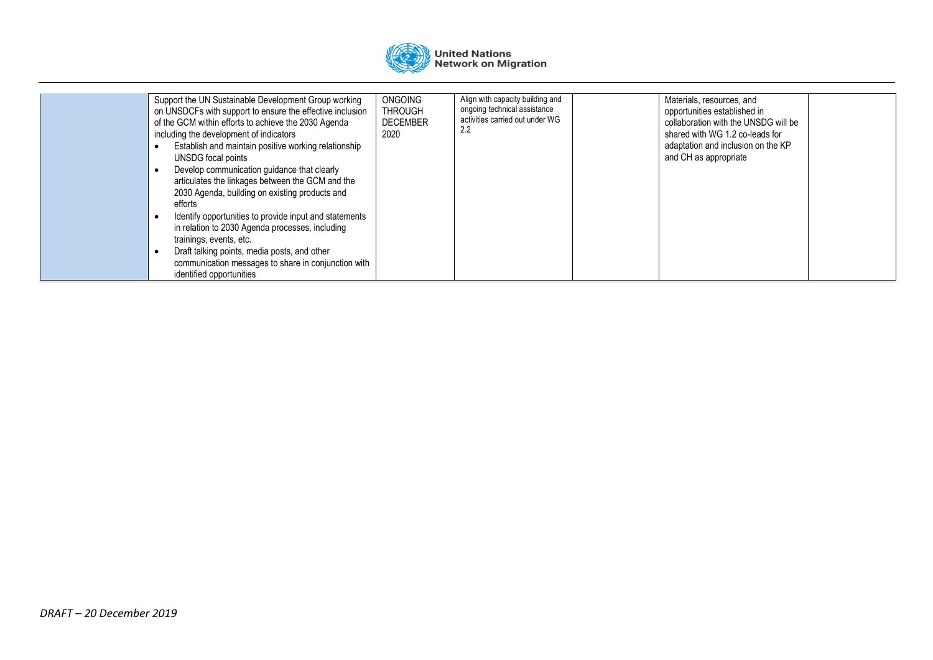

| Support the UN Sustainable Development Group working<br>on UNSDCFs with support to ensure the effective inclusion<br>of the GCM within efforts to achieve the 2030 Agenda<br>including the development of indicators<br>Establish and maintain positive working relationship<br>UNSDG focal points<br>Develop communication guidance that clearly<br>articulates the linkages between the GCM and the<br>2030 Agenda, building on existing products and<br>efforts<br>Identify opportunities to provide input and statements<br>in relation to 2030 Agenda processes, including<br>trainings, events, etc.<br>Draft talking points, media posts, and other<br>communication messages to share in conjunction with<br>identified opportunities | ONGOING<br>THROUGH<br><b>DECEMBER</b><br>2020 | Align with capacity building and<br>ongoing technical assistance<br>activities carried out under WG<br>2.2 | Materials, resources, and<br>opportunities established in<br>collaboration with the UNSDG will be<br>shared with WG 1.2 co-leads for<br>adaptation and inclusion on the KP<br>and CH as appropriate |  |
|-----------------------------------------------------------------------------------------------------------------------------------------------------------------------------------------------------------------------------------------------------------------------------------------------------------------------------------------------------------------------------------------------------------------------------------------------------------------------------------------------------------------------------------------------------------------------------------------------------------------------------------------------------------------------------------------------------------------------------------------------|-----------------------------------------------|------------------------------------------------------------------------------------------------------------|-----------------------------------------------------------------------------------------------------------------------------------------------------------------------------------------------------|--|